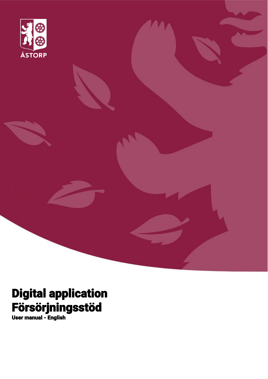

# Digital application Försörjningsstöd

User manual - English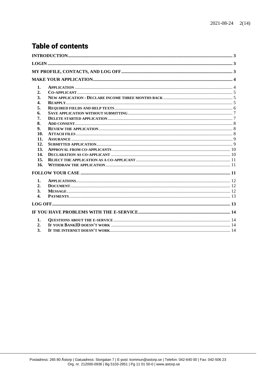# **Table of contents**

| 1.               |  |
|------------------|--|
| $\overline{2}$ . |  |
| 3.               |  |
| 4.               |  |
| 5.               |  |
| 6.               |  |
| 7.               |  |
| 8.               |  |
| 9.               |  |
| 10.              |  |
| 11.              |  |
| 12.              |  |
| 13.              |  |
| 14.              |  |
| 15.              |  |
| 16.              |  |
|                  |  |
| 1.               |  |
| 2.               |  |
| 3.               |  |
| $\overline{4}$ . |  |
|                  |  |
|                  |  |
| 1.               |  |
| 2.               |  |
| 3.               |  |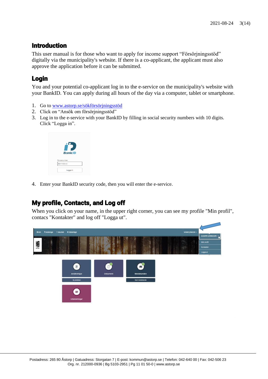## <span id="page-2-0"></span>Introduction

This user manual is for those who want to apply for income support "Försörjningsstöd" digitally via the municipality's website. If there is a co-applicant, the applicant must also approve the application before it can be submitted.

# <span id="page-2-1"></span>Login

You and your potential co-applicant log in to the e-service on the municipality's website with your BankID. You can apply during all hours of the day via a computer, tablet or smartphone.

- 1. Go to [www.astorp.se/sökförsörjningsstöd](file://///srv-fs1.astadm.lan/winapps$/SOF/Projekt%20nytt%20verksamhetssystem/Lifecare%20IFO/Planering%20av%20medborgartjänsten%20IFO%20Ekonomiskt%20bistånd/Användarmanualer/www.astorp.se/sökförsörjningsstöd)
- 2. Click on "Ansök om försörjningsstöd"
- 3. Log in to the e-service with your BankID by filling in social security numbers with 10 digits. Click "Logga in".



4. Enter your BankID security code, then you will enter the e-service.

# <span id="page-2-2"></span>My profile, Contacts, and Log off

When you click on your name, in the upper right corner, you can see my profile "Min profil", contacs "Kontakter" and log off "Logga ut".

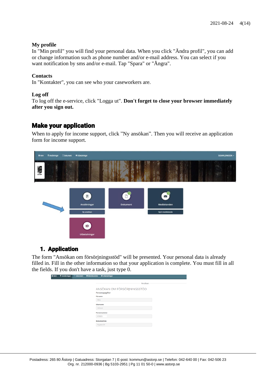#### **My profile**

In "Min profil" you will find your personal data. When you click "Ändra profil", you can add or change information such as phone number and/or e-mail address. You can select if you want notification by sms and/or e-mail. Tap "Spara" or "Ångra".

#### **Contacts**

In "Kontakter", you can see who your caseworkers are.

#### **Log off**

To log off the e-service, click "Logga ut". **Don't forget to close your browser immediately after you sign out.**

#### <span id="page-3-0"></span>Make your application

When to apply for income support, click "Ny ansökan". Then you will receive an application form for income support.



#### 1. Application

<span id="page-3-1"></span>The form "Ansökan om försörjningsstöd" will be presented. Your personal data is already filled in. Fill in the other information so that your application is complete. You must fill in all the fields. If you don't have a task, just type 0.

| # Hem | <b>E</b> Ansokningar | D Dokument | <b>B</b> Meddelanden<br><b>Utbetainingar</b>   |
|-------|----------------------|------------|------------------------------------------------|
|       |                      |            | Ansökan                                        |
|       |                      |            | ANSÖKAN OM FÖRSÖRJNINGSSTÖD<br>Personuppgifter |
|       |                      |            | Förnamn<br>Mary                                |
|       |                      |            | Efternamn                                      |
|       |                      |            | Johnson<br>Personnummer                        |
|       |                      |            | 670823-                                        |
|       |                      |            | Bostadsadress<br>Nygatan 54                    |
|       |                      |            |                                                |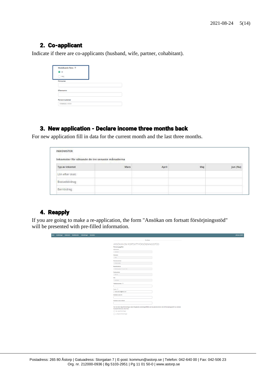#### <span id="page-4-0"></span>2. Co-applicant

Indicate if there are co-applicants (husband, wife, partner, cohabitant).

| Medsökande finns 2<br>$\odot$ Ja |  |  |
|----------------------------------|--|--|
| Nei                              |  |  |
| Förnamn                          |  |  |
|                                  |  |  |
| Efternamn                        |  |  |
|                                  |  |  |
| Personnummer                     |  |  |
| AAMMDD-XXXX                      |  |  |

#### <span id="page-4-1"></span>3. New application - Declare income three months back

For new application fill in data for the current month and the last three months.

| Typ av inkomst  | Mars | April | Maj | Jun (Nu) |
|-----------------|------|-------|-----|----------|
| Lön efter skatt |      |       |     |          |
| Bostadsbidrag   |      |       |     |          |

# <span id="page-4-2"></span>4. Reapply

If you are going to make a re-application, the form "Ansökan om fortsatt försörjningsstöd" will be presented with pre-filled information.

| Ansökan                                                                                                                                                                   |  |
|---------------------------------------------------------------------------------------------------------------------------------------------------------------------------|--|
| ANSÖKAN OM FORTSATT FÖRSÖRJNINGSSTÖD                                                                                                                                      |  |
| Personuppgifter                                                                                                                                                           |  |
| Effermannin                                                                                                                                                               |  |
| Johnson                                                                                                                                                                   |  |
| Párina min                                                                                                                                                                |  |
| Mary                                                                                                                                                                      |  |
| Persons unnerer                                                                                                                                                           |  |
| 670623-6586                                                                                                                                                               |  |
| <b>Bottsduadress</b>                                                                                                                                                      |  |
| Pesitingston 7 A Lph 1202                                                                                                                                                 |  |
| Postmummer                                                                                                                                                                |  |
| 523 43                                                                                                                                                                    |  |
| Ort                                                                                                                                                                       |  |
| KLOVER                                                                                                                                                                    |  |
| <b>Telefonnummer 0</b>                                                                                                                                                    |  |
|                                                                                                                                                                           |  |
| E-post (D)                                                                                                                                                                |  |
| mana petunggores com                                                                                                                                                      |  |
| Anatkan evser år                                                                                                                                                          |  |
|                                                                                                                                                                           |  |
| Anothen even måned                                                                                                                                                        |  |
|                                                                                                                                                                           |  |
|                                                                                                                                                                           |  |
| Her det skett några förändringar sedan föregående ansökningstillfälle som kan påverka din/er rått till försörjningsstöd? (ex. ändrade<br>familjeförhållanden eller flytt) |  |
| C Noj, inga fördindningar                                                                                                                                                 |  |
| C ja följande förändringar:                                                                                                                                               |  |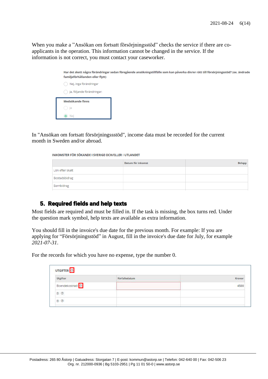When you make a "Ansökan om fortsatt försörjningsstöd" checks the service if there are coapplicants in the operation. This information cannot be changed in the service. If the information is not correct, you must contact your caseworker.

| Har det skett några förändringar sedan föregående ansökningstillfälle som kan påverka din/er rätt till försörjningsstöd? (ex. ändrade<br>familjeförhållanden eller flytt) |
|---------------------------------------------------------------------------------------------------------------------------------------------------------------------------|
| Nej, inga förändringar                                                                                                                                                    |
| Ja, följande förändringar:                                                                                                                                                |
| Medsökande finns                                                                                                                                                          |
| -) Ja                                                                                                                                                                     |
|                                                                                                                                                                           |

In "Ansökan om fortsatt försörjningssstöd", income data must be recorded for the current month in Sweden and/or abroad.

INKOMSTER FÖR SÖKANDE I SVERIGE OCH/ELLER I UTLANDET

|                 | <b>Datum för inkomst</b> | <b>Belopp</b> |
|-----------------|--------------------------|---------------|
| Lön efter skatt |                          |               |
| Bostadsbidrag   |                          |               |
| Barnbidrag      |                          |               |

#### 5. Required fields and help texts

<span id="page-5-0"></span>Most fields are required and must be filled in. If the task is missing, the box turns red. Under the question mark symbol, help texts are available as extra information.

You should fill in the invoice's due date for the previous month. For example: If you are applying for "Försörjningsstöd" in August, fill in the invoice's due date for July, for example *2021-07-31*.

For the records for which you have no expense, type the number 0.

| UTGIFTER <sup>0</sup><br>Utgifter | Förfallodatum | Kronor |
|-----------------------------------|---------------|--------|
|                                   |               |        |
| Boendekostnad <mark>3</mark>      |               | 4500   |
| EI 2                              |               |        |
| EI ®                              |               |        |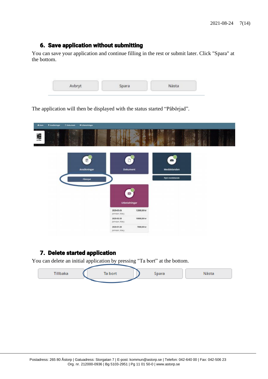# <span id="page-6-0"></span>6. Save application without submitting

You can save your application and continue filling in the rest or submit later. Click "Spara" at the bottom.

| <b>CONTRACTOR</b> | Avbryt | Spara | Nästa |
|-------------------|--------|-------|-------|
|-------------------|--------|-------|-------|

The application will then be displayed with the status started "Påbörjad".

| A Hem         | <b>E Ansökningar</b> | D Dokument | <b>O</b> Utbetainingar      |                             |             |                  |  |  |
|---------------|----------------------|------------|-----------------------------|-----------------------------|-------------|------------------|--|--|
| <b>SECOND</b> | Ŕ                    |            |                             |                             |             | w                |  |  |
|               |                      |            | $\mathbf{e}$<br>Ansökningar | D<br><b>Dokument</b>        |             | 8<br>Meddelanden |  |  |
|               |                      |            | Pâblicjad                   |                             |             | Nytt meddelande  |  |  |
|               |                      |            |                             | Ø<br><b>Utbetalningar</b>   |             |                  |  |  |
|               |                      |            |                             | 2020-03-26<br>johnson, Mary | 12000,00 kr |                  |  |  |
|               |                      |            |                             | 2020-02-20<br>Johnson, Mary | 10000,00 kr |                  |  |  |
|               |                      |            |                             | 2020-01-20<br>jonnson, Mary | 7000,00 kr  |                  |  |  |

#### <span id="page-6-1"></span>7. Delete started application

You can delete an initial application by pressing "Ta bort" at the bottom.

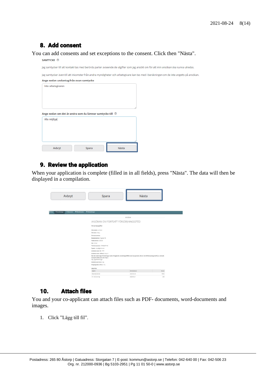# 8. Add consent

*Committee Committee* 

<span id="page-7-0"></span>You can add consents and set exceptions to the consent. Click then "Nästa".

| $3$ MIVIIILRE $\vee$                   |                                                                                                                                        |  |
|----------------------------------------|----------------------------------------------------------------------------------------------------------------------------------------|--|
|                                        | Jag samtycker till att kontakt tas med berörda parter avseende de utgifter som jag ansökt om för att min ansökan ska kunna utredas.    |  |
|                                        | Jag samtycker även till att inkomster från andra myndigheter och arbetsgivare kan tas med i beräkningen om de inte angetts på ansökan. |  |
| Ange nedan undantag från ovan samtycke |                                                                                                                                        |  |
| Inte arbetsgivaren                     |                                                                                                                                        |  |
|                                        |                                                                                                                                        |  |
|                                        |                                                                                                                                        |  |
|                                        |                                                                                                                                        |  |
|                                        |                                                                                                                                        |  |
|                                        | Ange nedan om det är andra som du lämnar samtycke till @                                                                               |  |
| Alla möjliga                           |                                                                                                                                        |  |
|                                        |                                                                                                                                        |  |
|                                        |                                                                                                                                        |  |
|                                        |                                                                                                                                        |  |
|                                        |                                                                                                                                        |  |
|                                        |                                                                                                                                        |  |
| Avbryt                                 | Nästa<br>Spara                                                                                                                         |  |

#### 9. Review the application

<span id="page-7-1"></span>When your application is complete (filled in in all fields), press "Nästa". The data will then be displayed in a compilation.

| Avbryt                                                                 | Spara                                                       | Nästa                                                                                                                                 |               |
|------------------------------------------------------------------------|-------------------------------------------------------------|---------------------------------------------------------------------------------------------------------------------------------------|---------------|
|                                                                        |                                                             |                                                                                                                                       |               |
| <b><i>B Ansokninger</i></b><br><b>D</b> Dokument<br><b>Meddelanden</b> | <b>B</b> Utbetalningar                                      |                                                                                                                                       |               |
|                                                                        |                                                             | Ansökan                                                                                                                               |               |
|                                                                        | ANSÖKAN OM FORTSATT FÖRSÖRJNINGSSTÖD                        |                                                                                                                                       |               |
|                                                                        | Personuppgifter                                             |                                                                                                                                       |               |
|                                                                        | Efternamn: johnson                                          |                                                                                                                                       |               |
|                                                                        | Förnamn: Nary                                               |                                                                                                                                       |               |
|                                                                        | Personnummer:                                               |                                                                                                                                       |               |
|                                                                        | Bostadsadress: Nygetan 54                                   |                                                                                                                                       |               |
|                                                                        | Postnummer: 000 00                                          |                                                                                                                                       |               |
|                                                                        | Ort: Kidver                                                 |                                                                                                                                       |               |
|                                                                        | Telefonnummer: 07052287192                                  |                                                                                                                                       |               |
|                                                                        | E-post: mary@gmail.com                                      |                                                                                                                                       |               |
|                                                                        | Ansökan avser år: 2020                                      |                                                                                                                                       |               |
|                                                                        | Ansökan avser månad: 04 April                               |                                                                                                                                       |               |
|                                                                        | familjeförhållanden eller flytt):<br>Nej, inga förändringar | Har det skett några förändringar sedan föregående ansökningstillfälle som kan påverka din/er rätt till försörjningsstöd? (ex. ändrade |               |
|                                                                        | Medsökande finns: Nej                                       |                                                                                                                                       |               |
|                                                                        | Umgängesbarn finns; Nej                                     |                                                                                                                                       |               |
|                                                                        |                                                             |                                                                                                                                       |               |
|                                                                        | UTGIFTER<br>Utgifter                                        | Förfaliscienzen                                                                                                                       | <b>Kronor</b> |
|                                                                        | Boendekostnad                                               | 2020-03-28                                                                                                                            | 5500          |
|                                                                        |                                                             |                                                                                                                                       |               |

#### <span id="page-7-2"></span>10. Attach files

You and your co-applicant can attach files such as PDF- documents, word-documents and images.

1. Click "Lägg till fil".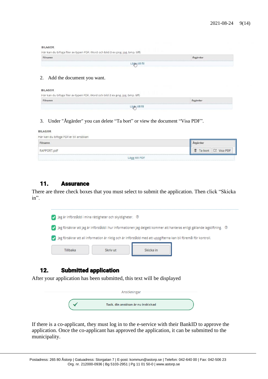**BILAGOR** 

| Filnamn |  |
|---------|--|

#### 2. Add the document you want.

**BILAGOR** 

| Här kan du bifoga filer av typen PDF, Word och bild (t ex png, jpg, bmp, tiff) |                |
|--------------------------------------------------------------------------------|----------------|
| Filnamn                                                                        | Atgärder       |
|                                                                                | Läges till fil |

3. Under "Åtgärder" you can delete "Ta bort" or view the document "Visa PDF".

| <b>BILAGOR</b>                        |                        |
|---------------------------------------|------------------------|
| Här kan du bifoga PDF:er till ansökan |                        |
| Filnamn                               | Atzärder               |
| RAPPORT.pdf                           | ■ Ta bort   □ Visa PDF |
|                                       | Lägg till PDF          |

#### <span id="page-8-0"></span>11. Assurance

There are three check boxes that you must select to submit the application. Then click "Skicka in".



#### <span id="page-8-1"></span>12. Submitted application

After your application has been submitted, this text will be displayed

| Ansökningar                       |  |
|-----------------------------------|--|
| Tack, din ansökan är nu inskickad |  |

If there is a co-applicant, they must log in to the e-service with their BankID to approve the application. Once the co-applicant has approved the application, it can be submitted to the municipality.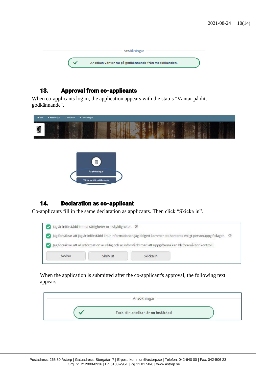| Ansökningar                                        |  |
|----------------------------------------------------|--|
| Ansökan väntar nu på godkännande från medsökanden. |  |

#### <span id="page-9-0"></span>13. Approval from co-applicants

When co-applicants log in, the application appears with the status "Väntar på ditt godkännande".

| * Hem       | <b>8 Ansökningar</b> | D Dokument | · Utbetainingar                                |  |
|-------------|----------------------|------------|------------------------------------------------|--|
| <b>SAND</b> | ٦                    |            |                                                |  |
|             |                      |            | Ë<br>Ansökningar<br>Väntar på ditt godkännande |  |

# <span id="page-9-1"></span>14. Declaration as co-applicant

Co-applicants fill in the same declaration as applicants. Then click "Skicka in".

| Jag är införstådd i mina rättigheter och skyldigheter. 2 |                                                                                                                       |
|----------------------------------------------------------|-----------------------------------------------------------------------------------------------------------------------|
|                                                          | Jag försäkrar att jag är införstådd i hur informationen jag delgett kommer att hanteras enligt personuppgiftslagen. @ |
|                                                          |                                                                                                                       |
|                                                          |                                                                                                                       |
|                                                          | Jag försäkrar att all information är riktig och är införstådd med att uppgifterna kan bli föremål för kontroll.       |

When the application is submitted after the co-applicant's approval, the following text appears

| Ansökningar                       |  |
|-----------------------------------|--|
| Tack, din ansökan är nu inskickad |  |
|                                   |  |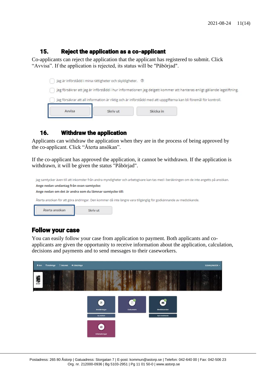#### <span id="page-10-0"></span>15. Reject the application as a co-applicant

Co-applicants can reject the application that the applicant has registered to submit. Click "Avvisa". If the application is rejected, its status will be "Påbörjad".



#### 16. Withdraw the application

<span id="page-10-1"></span>Applicants can withdraw the application when they are in the process of being approved by the co-applicant. Click "Återta ansökan".

If the co-applicant has approved the application, it cannot be withdrawn. If the application is withdrawn, it will be given the status "Påbörjad".



# <span id="page-10-2"></span>Follow your case

You can easily follow your case from application to payment. Both applicants and coapplicants are given the opportunity to receive information about the application, calculation, decisions and payments and to send messages to their caseworkers.

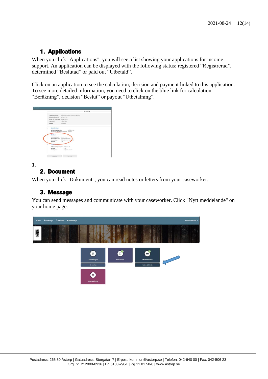# 1. Applications

<span id="page-11-0"></span>When you click "Applications", you will see a list showing your applications for income support. An application can be displayed with the following status: registered "Registrerad", determined "Beslutad" or paid out "Utbetald".

Click on an application to see the calculation, decision and payment linked to this application. To see more detailed information, you need to click on the blue link for calculation "Beräkning", decision "Beslut" or payout "Utbetalning".

|                                 | Ansökan                           |  |
|---------------------------------|-----------------------------------|--|
| Typ av ansökan:                 | Månadsansökan försörpringsstöd    |  |
| Analikansdatum:                 | 2016-11-03                        |  |
| Orsak till ansökan: Enligt norm |                                   |  |
| Frika vermi                     | I ingern sak                      |  |
| Status:                         | <b>Utitietald</b>                 |  |
| Beräkning                       |                                   |  |
| Berähningsdatum:                | 2016-11-03                        |  |
|                                 | Beräknat försörjningsstöd: 354.00 |  |
| Beslut                          |                                   |  |
| Beslutsdatum:                   | 2016-11-04                        |  |
|                                 | Beslutsfattare: Ingrid Andersson  |  |
|                                 |                                   |  |
| <b>Beslutstyp!</b>              | Ele bistànzi 4/1 Soi, Mail        |  |
| Belopp:                         | 1,00                              |  |
| <b>Uttercommus</b>              |                                   |  |
|                                 | Utbetalningsdatum: 2016-11-28     |  |
| Belopp:                         | 1.00                              |  |
| Mottagare:                      | E-Tjänst, Evert                   |  |

#### **1.**

# <span id="page-11-1"></span>2. Document

When you click "Dokument", you can read notes or letters from your caseworker.

#### <span id="page-11-2"></span>3. Message

You can send messages and communicate with your caseworker. Click "Nytt meddelande" on your home page.

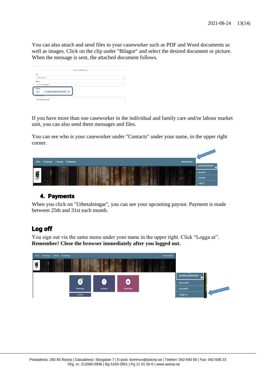You can also attach and send files to your caseworker such as PDF and Word documents as well as images. Click on the clip under "Bilagor" and select the desired document or picture. When the message is sent, the attached document follows.

| Till                |                                |   |
|---------------------|--------------------------------|---|
| Ostiund Maria       |                                | ٠ |
| <b>Amne</b>         |                                |   |
| til min handläggare |                                |   |
| Bilagor             | D Lifecare Meddelande IFO 20 x |   |

If you have more than one caseworker in the individual and family care and/or labour market unit, you can also send them messages and files.

You can see who is your caseworker under "Contacts" under your name, in the upper right corner.



#### <span id="page-12-0"></span>4. Payments

When you click on "Utbetalningar", you can see your upcoming payout. Payment is made between 25th and 31st each month.

# <span id="page-12-1"></span>Log off

You sign out via the same menu under your name in the upper right. Click "Logga ut". **Remember! Close the browser immediately after you logged out.**